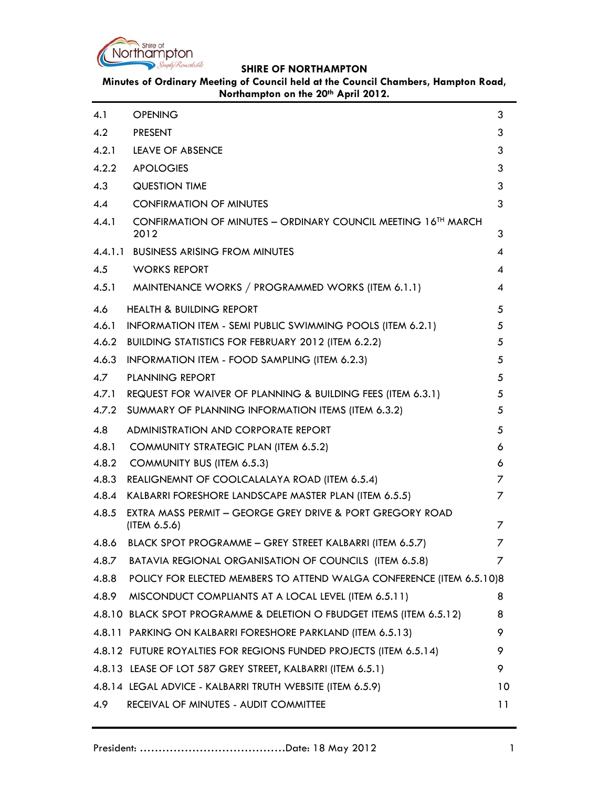

**Minutes of Ordinary Meeting of Council held at the Council Chambers, Hampton Road,**  Northampton on the 20<sup>th</sup> April 2012.

| 4.1   | <b>OPENING</b>                                                                       | 3              |
|-------|--------------------------------------------------------------------------------------|----------------|
| 4.2   | <b>PRESENT</b>                                                                       | 3              |
| 4.2.1 | LEAVE OF ABSENCE                                                                     | 3              |
| 4.2.2 | <b>APOLOGIES</b>                                                                     | 3              |
| 4.3   | <b>QUESTION TIME</b>                                                                 | 3              |
| 4.4   | <b>CONFIRMATION OF MINUTES</b>                                                       | 3              |
| 4.4.1 | CONFIRMATION OF MINUTES - ORDINARY COUNCIL MEETING 16 <sup>TH</sup> MARCH<br>2012    | 3              |
|       | 4.4.1.1 BUSINESS ARISING FROM MINUTES                                                | 4              |
| 4.5   | <b>WORKS REPORT</b>                                                                  | 4              |
| 4.5.1 | MAINTENANCE WORKS / PROGRAMMED WORKS (ITEM 6.1.1)                                    | 4              |
| 4.6   | <b>HEALTH &amp; BUILDING REPORT</b>                                                  | 5              |
| 4.6.1 | INFORMATION ITEM - SEMI PUBLIC SWIMMING POOLS (ITEM 6.2.1)                           | 5              |
| 4.6.2 | BUILDING STATISTICS FOR FEBRUARY 2012 (ITEM 6.2.2)                                   | 5              |
| 4.6.3 | INFORMATION ITEM - FOOD SAMPLING (ITEM 6.2.3)                                        | 5              |
| 4.7   | <b>PLANNING REPORT</b>                                                               | 5              |
| 4.7.1 | REQUEST FOR WAIVER OF PLANNING & BUILDING FEES (ITEM 6.3.1)                          | 5              |
| 4.7.2 | SUMMARY OF PLANNING INFORMATION ITEMS (ITEM 6.3.2)                                   | 5              |
| 4.8   | ADMINISTRATION AND CORPORATE REPORT                                                  | 5              |
| 4.8.1 | <b>COMMUNITY STRATEGIC PLAN (ITEM 6.5.2)</b>                                         | 6              |
| 4.8.2 | <b>COMMUNITY BUS (ITEM 6.5.3)</b>                                                    | 6              |
|       | 4.8.3 REALIGNEMNT OF COOLCALALAYA ROAD (ITEM 6.5.4)                                  | 7              |
|       | 4.8.4 KALBARRI FORESHORE LANDSCAPE MASTER PLAN (ITEM 6.5.5)                          | 7              |
| 4.8.5 | <b>EXTRA MASS PERMIT - GEORGE GREY DRIVE &amp; PORT GREGORY ROAD</b><br>(ITEM 6.5.6) | $\overline{z}$ |
|       | 4.8.6 BLACK SPOT PROGRAMME - GREY STREET KALBARRI (ITEM 6.5.7)                       | 7              |
| 4.8.7 | BATAVIA REGIONAL ORGANISATION OF COUNCILS (ITEM 6.5.8)                               | 7              |
| 4.8.8 | POLICY FOR ELECTED MEMBERS TO ATTEND WALGA CONFERENCE (ITEM 6.5.10)8                 |                |
| 4.8.9 | MISCONDUCT COMPLIANTS AT A LOCAL LEVEL (ITEM 6.5.11)                                 | 8              |
|       | 4.8.10 BLACK SPOT PROGRAMME & DELETION O FBUDGET ITEMS (ITEM 6.5.12)                 | 8              |
|       | 4.8.11 PARKING ON KALBARRI FORESHORE PARKLAND (ITEM 6.5.13)                          | 9              |
|       | 4.8.12 FUTURE ROYALTIES FOR REGIONS FUNDED PROJECTS (ITEM 6.5.14)                    | 9              |
|       | 4.8.13 LEASE OF LOT 587 GREY STREET, KALBARRI (ITEM 6.5.1)                           | 9              |
|       | 4.8.14 LEGAL ADVICE - KALBARRI TRUTH WEBSITE (ITEM 6.5.9)                            | 10             |
| 4.9   | RECEIVAL OF MINUTES - AUDIT COMMITTEE                                                | 11             |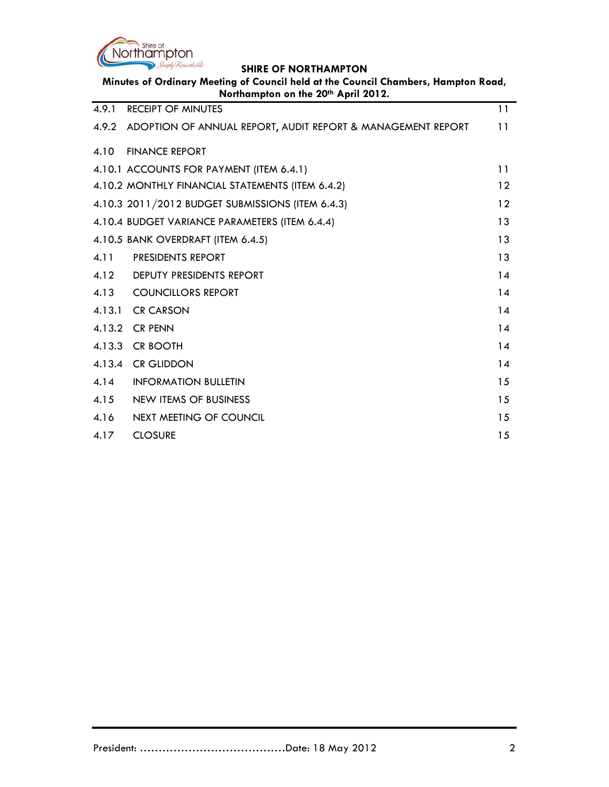

**Minutes of Ordinary Meeting of Council held at the Council Chambers, Hampton Road,** 

| Northampton on the 20th April 2012. |                                                             |    |
|-------------------------------------|-------------------------------------------------------------|----|
| 4.9.1                               | <b>RECEIPT OF MINUTES</b>                                   | 11 |
| 4.9.2                               | ADOPTION OF ANNUAL REPORT, AUDIT REPORT & MANAGEMENT REPORT | 11 |
| 4.10                                | <b>FINANCE REPORT</b>                                       |    |
|                                     | 4.10.1 ACCOUNTS FOR PAYMENT (ITEM 6.4.1)                    | 11 |
|                                     | 4.10.2 MONTHLY FINANCIAL STATEMENTS (ITEM 6.4.2)            | 12 |
|                                     | 4.10.3 2011/2012 BUDGET SUBMISSIONS (ITEM 6.4.3)            | 12 |
|                                     | 4.10.4 BUDGET VARIANCE PARAMETERS (ITEM 6.4.4)              | 13 |
|                                     | 4.10.5 BANK OVERDRAFT (ITEM 6.4.5)                          | 13 |
| 4.11                                | PRESIDENTS REPORT                                           | 13 |
| 4.12                                | <b>DEPUTY PRESIDENTS REPORT</b>                             | 14 |
| 4.13                                | <b>COUNCILLORS REPORT</b>                                   | 14 |
| 4.13.1                              | <b>CR CARSON</b>                                            | 14 |
| 4.13.2                              | <b>CR PENN</b>                                              | 14 |
| 4.13.3                              | <b>CR BOOTH</b>                                             | 14 |
| 4.13.4                              | <b>CR GLIDDON</b>                                           | 14 |
| 4.14                                | <b>INFORMATION BULLETIN</b>                                 | 15 |
| 4.15                                | <b>NEW ITEMS OF BUSINESS</b>                                | 15 |
| 4.16                                | NEXT MEETING OF COUNCIL                                     | 15 |
| 4.17                                | <b>CLOSURE</b>                                              | 15 |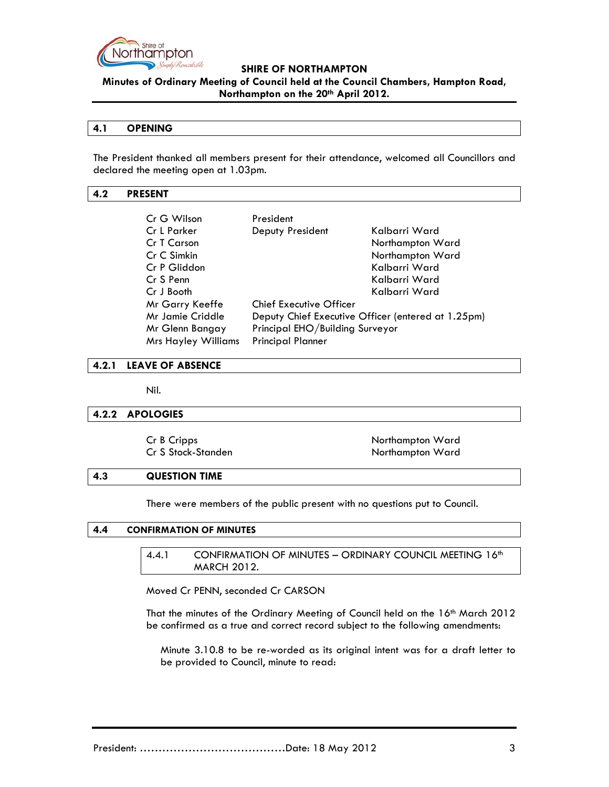

**Minutes of Ordinary Meeting of Council held at the Council Chambers, Hampton Road, Northampton on the 20th April 2012.**

### **4.1 OPENING**

The President thanked all members present for their attendance, welcomed all Councillors and declared the meeting open at 1.03pm.

#### **4.2 PRESENT**

| Cr G Wilson                | President                       |                                                    |
|----------------------------|---------------------------------|----------------------------------------------------|
| Cr L Parker                | Deputy President                | Kalbarri Ward                                      |
| Cr T Carson                |                                 | Northampton Ward                                   |
| Cr C Simkin                |                                 | Northampton Ward                                   |
| Cr P Gliddon               |                                 | Kalbarri Ward                                      |
| Cr S Penn                  |                                 | Kalbarri Ward                                      |
| Cr J Booth                 |                                 | Kalbarri Ward                                      |
| Mr Garry Keeffe            | <b>Chief Executive Officer</b>  |                                                    |
| Mr Jamie Criddle           |                                 | Deputy Chief Executive Officer (entered at 1.25pm) |
| Mr Glenn Bangay            | Principal EHO/Building Surveyor |                                                    |
| <b>Mrs Hayley Williams</b> | <b>Principal Planner</b>        |                                                    |

#### **4.2.1 LEAVE OF ABSENCE**

Nil.

#### **4.2.2 APOLOGIES**

| Cr B Cripps        |  |
|--------------------|--|
| Cr S Stock-Standen |  |

Northampton Ward Northampton Ward

### **4.3 QUESTION TIME**

There were members of the public present with no questions put to Council.

#### **4.4 CONFIRMATION OF MINUTES**

4.4.1 CONFIRMATION OF MINUTES - ORDINARY COUNCIL MEETING 16th MARCH 2012.

Moved Cr PENN, seconded Cr CARSON

That the minutes of the Ordinary Meeting of Council held on the 16th March 2012 be confirmed as a true and correct record subject to the following amendments:

Minute 3.10.8 to be re-worded as its original intent was for a draft letter to be provided to Council, minute to read: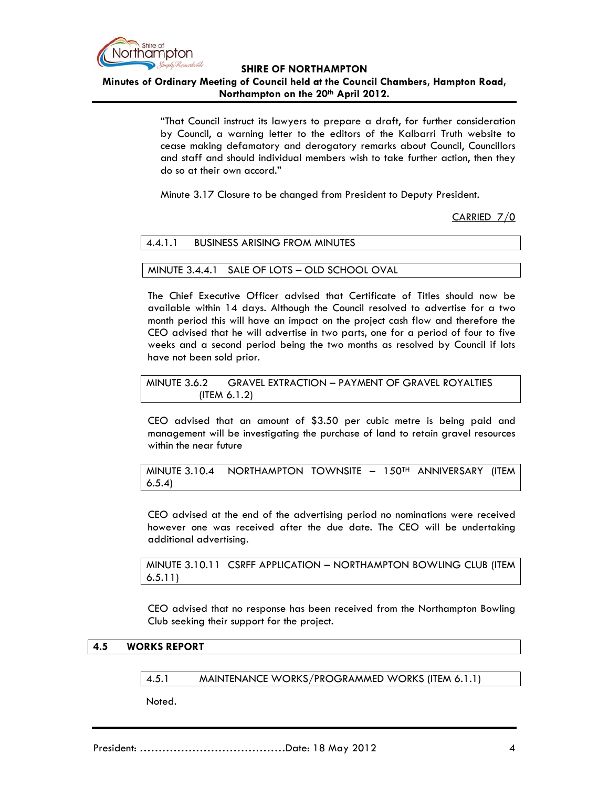

**Minutes of Ordinary Meeting of Council held at the Council Chambers, Hampton Road, Northampton on the 20th April 2012.**

> "That Council instruct its lawyers to prepare a draft, for further consideration by Council, a warning letter to the editors of the Kalbarri Truth website to cease making defamatory and derogatory remarks about Council, Councillors and staff and should individual members wish to take further action, then they do so at their own accord."

Minute 3.17 Closure to be changed from President to Deputy President.

CARRIED 7/0

| 4.4.1.1 | <b>BUSINESS ARISING FROM MINUTES</b> |  |
|---------|--------------------------------------|--|
|---------|--------------------------------------|--|

#### MINUTE 3.4.4.1 SALE OF LOTS – OLD SCHOOL OVAL

The Chief Executive Officer advised that Certificate of Titles should now be available within 14 days. Although the Council resolved to advertise for a two month period this will have an impact on the project cash flow and therefore the CEO advised that he will advertise in two parts, one for a period of four to five weeks and a second period being the two months as resolved by Council if lots have not been sold prior.

MINUTE 3.6.2 GRAVEL EXTRACTION – PAYMENT OF GRAVEL ROYALTIES (ITEM 6.1.2)

CEO advised that an amount of \$3.50 per cubic metre is being paid and management will be investigating the purchase of land to retain gravel resources within the near future

MINUTE 3.10.4 NORTHAMPTON TOWNSITE - 150TH ANNIVERSARY (ITEM 6.5.4)

CEO advised at the end of the advertising period no nominations were received however one was received after the due date. The CEO will be undertaking additional advertising.

MINUTE 3.10.11 CSRFF APPLICATION – NORTHAMPTON BOWLING CLUB (ITEM 6.5.11)

CEO advised that no response has been received from the Northampton Bowling Club seeking their support for the project.

#### **4.5 WORKS REPORT**

4.5.1 MAINTENANCE WORKS/PROGRAMMED WORKS (ITEM 6.1.1)

Noted.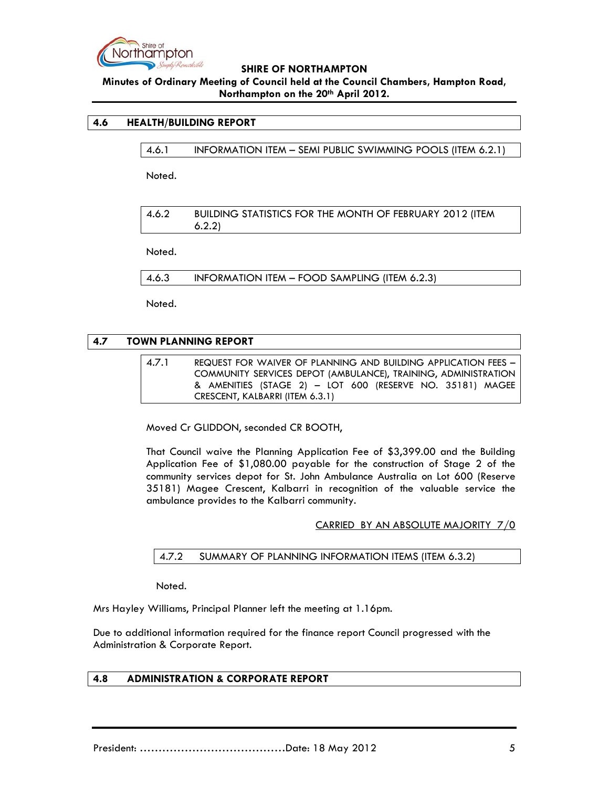

**Minutes of Ordinary Meeting of Council held at the Council Chambers, Hampton Road, Northampton on the 20th April 2012.**

### **4.6 HEALTH/BUILDING REPORT**

4.6.1 INFORMATION ITEM – SEMI PUBLIC SWIMMING POOLS (ITEM 6.2.1)

Noted.

4.6.2 BUILDING STATISTICS FOR THE MONTH OF FEBRUARY 2012 (ITEM 6.2.2)

Noted.

4.6.3 INFORMATION ITEM – FOOD SAMPLING (ITEM 6.2.3)

Noted.

### **4.7 TOWN PLANNING REPORT**

4.7.1 REQUEST FOR WAIVER OF PLANNING AND BUILDING APPLICATION FEES – COMMUNITY SERVICES DEPOT (AMBULANCE), TRAINING, ADMINISTRATION & AMENITIES (STAGE 2) – LOT 600 (RESERVE NO. 35181) MAGEE CRESCENT, KALBARRI (ITEM 6.3.1)

Moved Cr GLIDDON, seconded CR BOOTH,

That Council waive the Planning Application Fee of \$3,399.00 and the Building Application Fee of \$1,080.00 payable for the construction of Stage 2 of the community services depot for St. John Ambulance Australia on Lot 600 (Reserve 35181) Magee Crescent, Kalbarri in recognition of the valuable service the ambulance provides to the Kalbarri community.

CARRIED BY AN ABSOLUTE MAJORITY 7/0

4.7.2 SUMMARY OF PLANNING INFORMATION ITEMS (ITEM 6.3.2)

Noted.

Mrs Hayley Williams, Principal Planner left the meeting at 1.16pm.

Due to additional information required for the finance report Council progressed with the Administration & Corporate Report.

#### **4.8 ADMINISTRATION & CORPORATE REPORT**

President: …………………………………Date: 18 May 2012 5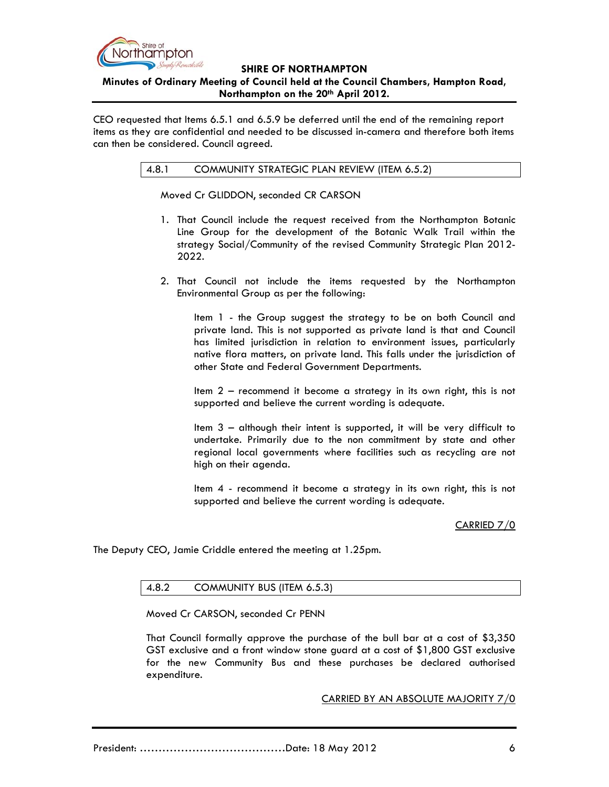

### **SHIRE OF NORTHAMPTON Minutes of Ordinary Meeting of Council held at the Council Chambers, Hampton Road, Northampton on the 20th April 2012.**

CEO requested that Items 6.5.1 and 6.5.9 be deferred until the end of the remaining report items as they are confidential and needed to be discussed in-camera and therefore both items can then be considered. Council agreed.

### 4.8.1 COMMUNITY STRATEGIC PLAN REVIEW (ITEM 6.5.2)

Moved Cr GLIDDON, seconded CR CARSON

- 1. That Council include the request received from the Northampton Botanic Line Group for the development of the Botanic Walk Trail within the strategy Social/Community of the revised Community Strategic Plan 2012- 2022.
- 2. That Council not include the items requested by the Northampton Environmental Group as per the following:

Item 1 - the Group suggest the strategy to be on both Council and private land. This is not supported as private land is that and Council has limited jurisdiction in relation to environment issues, particularly native flora matters, on private land. This falls under the jurisdiction of other State and Federal Government Departments.

Item 2 – recommend it become a strategy in its own right, this is not supported and believe the current wording is adequate.

Item 3 – although their intent is supported, it will be very difficult to undertake. Primarily due to the non commitment by state and other regional local governments where facilities such as recycling are not high on their agenda.

Item 4 - recommend it become a strategy in its own right, this is not supported and believe the current wording is adequate.

### CARRIED 7/0

The Deputy CEO, Jamie Criddle entered the meeting at 1.25pm.

#### 4.8.2 COMMUNITY BUS (ITEM 6.5.3)

Moved Cr CARSON, seconded Cr PENN

That Council formally approve the purchase of the bull bar at a cost of \$3,350 GST exclusive and a front window stone guard at a cost of \$1,800 GST exclusive for the new Community Bus and these purchases be declared authorised expenditure.

CARRIED BY AN ABSOLUTE MAJORITY 7/0

President: …………………………………Date: 18 May 2012 6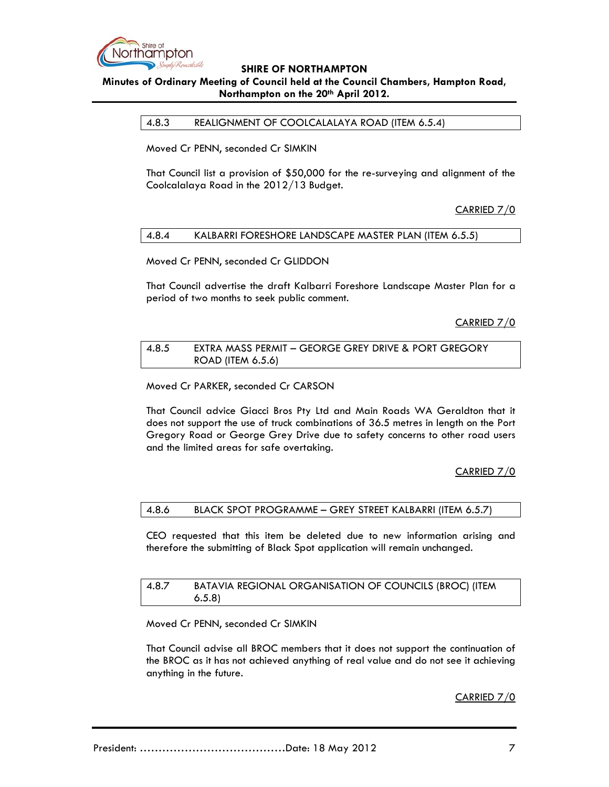

# **Minutes of Ordinary Meeting of Council held at the Council Chambers, Hampton Road, Northampton on the 20th April 2012.**

4.8.3 REALIGNMENT OF COOLCALALAYA ROAD (ITEM 6.5.4)

Moved Cr PENN, seconded Cr SIMKIN

That Council list a provision of \$50,000 for the re-surveying and alignment of the Coolcalalaya Road in the 2012/13 Budget.

CARRIED 7/0

#### 4.8.4 KALBARRI FORESHORE LANDSCAPE MASTER PLAN (ITEM 6.5.5)

Moved Cr PENN, seconded Cr GLIDDON

That Council advertise the draft Kalbarri Foreshore Landscape Master Plan for a period of two months to seek public comment.

CARRIED 7/0

| 4.8.5 | <b>EXTRA MASS PERMIT - GEORGE GREY DRIVE &amp; PORT GREGORY</b> |
|-------|-----------------------------------------------------------------|
|       | ROAD (ITEM 6.5.6)                                               |

Moved Cr PARKER, seconded Cr CARSON

That Council advice Giacci Bros Pty Ltd and Main Roads WA Geraldton that it does not support the use of truck combinations of 36.5 metres in length on the Port Gregory Road or George Grey Drive due to safety concerns to other road users and the limited areas for safe overtaking.

CARRIED 7/0

#### 4.8.6 BLACK SPOT PROGRAMME – GREY STREET KALBARRI (ITEM 6.5.7)

CEO requested that this item be deleted due to new information arising and therefore the submitting of Black Spot application will remain unchanged.

#### 4.8.7 BATAVIA REGIONAL ORGANISATION OF COUNCILS (BROC) (ITEM 6.5.8)

Moved Cr PENN, seconded Cr SIMKIN

That Council advise all BROC members that it does not support the continuation of the BROC as it has not achieved anything of real value and do not see it achieving anything in the future.

CARRIED 7/0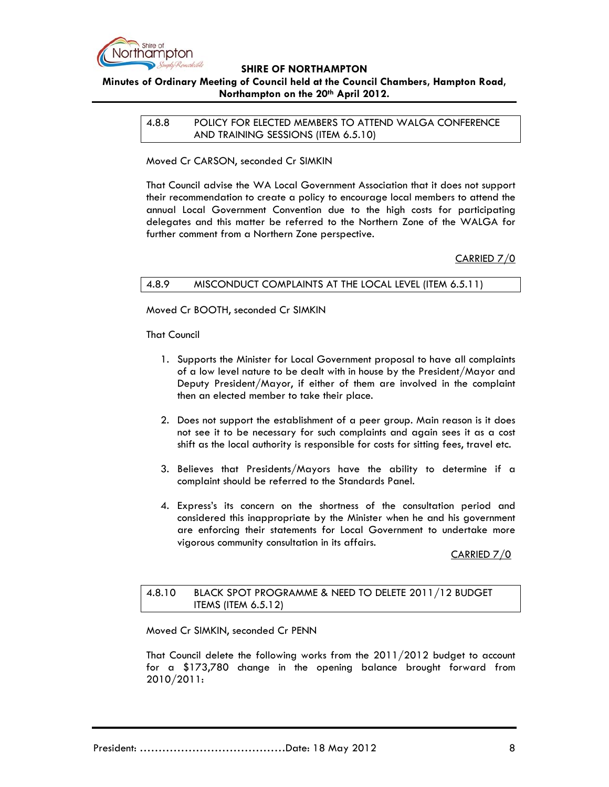

# **Minutes of Ordinary Meeting of Council held at the Council Chambers, Hampton Road, Northampton on the 20th April 2012.**

4.8.8 POLICY FOR ELECTED MEMBERS TO ATTEND WALGA CONFERENCE AND TRAINING SESSIONS (ITEM 6.5.10)

Moved Cr CARSON, seconded Cr SIMKIN

That Council advise the WA Local Government Association that it does not support their recommendation to create a policy to encourage local members to attend the annual Local Government Convention due to the high costs for participating delegates and this matter be referred to the Northern Zone of the WALGA for further comment from a Northern Zone perspective.

CARRIED 7/0

### 4.8.9 MISCONDUCT COMPLAINTS AT THE LOCAL LEVEL (ITEM 6.5.11)

Moved Cr BOOTH, seconded Cr SIMKIN

That Council

- 1. Supports the Minister for Local Government proposal to have all complaints of a low level nature to be dealt with in house by the President/Mayor and Deputy President/Mayor, if either of them are involved in the complaint then an elected member to take their place.
- 2. Does not support the establishment of a peer group. Main reason is it does not see it to be necessary for such complaints and again sees it as a cost shift as the local authority is responsible for costs for sitting fees, travel etc.
- 3. Believes that Presidents/Mayors have the ability to determine if a complaint should be referred to the Standards Panel.
- 4. Express's its concern on the shortness of the consultation period and considered this inappropriate by the Minister when he and his government are enforcing their statements for Local Government to undertake more vigorous community consultation in its affairs.

CARRIED 7/0

### 4.8.10 BLACK SPOT PROGRAMME & NEED TO DELETE 2011/12 BUDGET ITEMS (ITEM 6.5.12)

Moved Cr SIMKIN, seconded Cr PENN

That Council delete the following works from the 2011/2012 budget to account for a \$173,780 change in the opening balance brought forward from 2010/2011: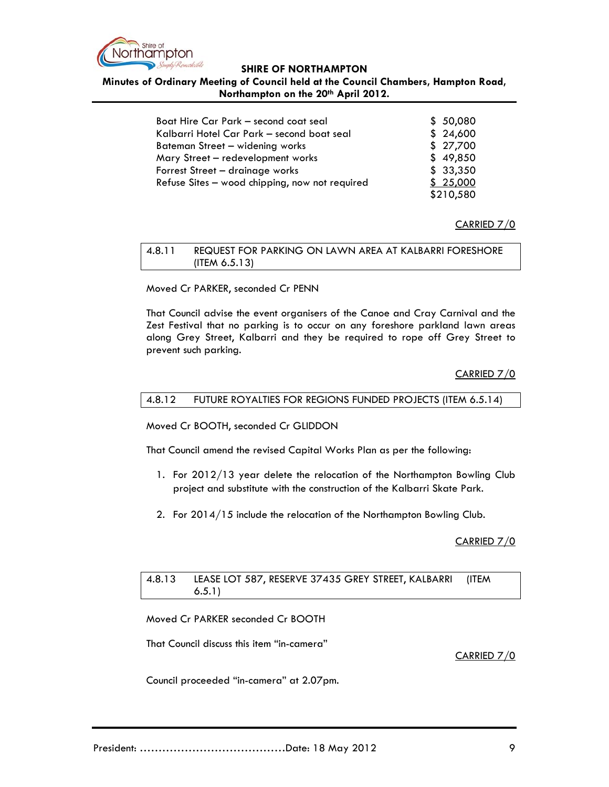

**Minutes of Ordinary Meeting of Council held at the Council Chambers, Hampton Road, Northampton on the 20th April 2012.**

| Boat Hire Car Park – second coat seal          | \$50,080  |
|------------------------------------------------|-----------|
| Kalbarri Hotel Car Park - second boat seal     | \$24,600  |
| Bateman Street - widening works                | \$27,700  |
| Mary Street - redevelopment works              | \$49,850  |
| Forrest Street - drainage works                | \$33,350  |
| Refuse Sites - wood chipping, now not required | \$25,000  |
|                                                | \$210,580 |

### CARRIED 7/0

| 4.8.11 | REQUEST FOR PARKING ON LAWN AREA AT KALBARRI FORESHORE |
|--------|--------------------------------------------------------|
|        | $($ ITEM 6.5.13)                                       |

Moved Cr PARKER, seconded Cr PENN

That Council advise the event organisers of the Canoe and Cray Carnival and the Zest Festival that no parking is to occur on any foreshore parkland lawn areas along Grey Street, Kalbarri and they be required to rope off Grey Street to prevent such parking.

# CARRIED 7/0

#### 4.8.12 FUTURE ROYALTIES FOR REGIONS FUNDED PROJECTS (ITEM 6.5.14)

Moved Cr BOOTH, seconded Cr GLIDDON

That Council amend the revised Capital Works Plan as per the following:

- 1. For 2012/13 year delete the relocation of the Northampton Bowling Club project and substitute with the construction of the Kalbarri Skate Park.
- 2. For 2014/15 include the relocation of the Northampton Bowling Club.

### CARRIED 7/0

#### 4.8.13 LEASE LOT 587, RESERVE 37435 GREY STREET, KALBARRI (ITEM 6.5.1)

Moved Cr PARKER seconded Cr BOOTH

That Council discuss this item "in-camera"

#### CARRIED 7/0

Council proceeded "in-camera" at 2.07pm.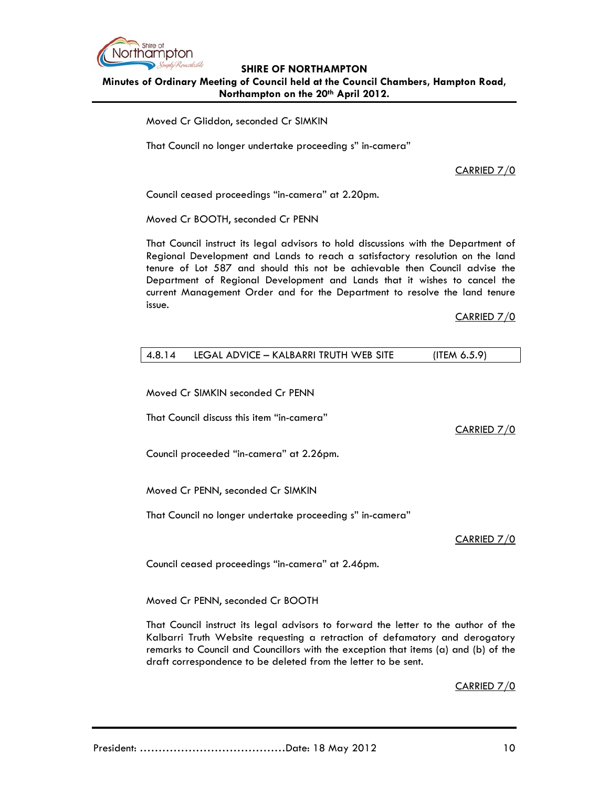

### **SHIRE OF NORTHAMPTON Minutes of Ordinary Meeting of Council held at the Council Chambers, Hampton Road, Northampton on the 20th April 2012.**

Moved Cr Gliddon, seconded Cr SIMKIN

That Council no longer undertake proceeding s" in-camera"

CARRIED 7/0

Council ceased proceedings "in-camera" at 2.20pm.

Moved Cr BOOTH, seconded Cr PENN

That Council instruct its legal advisors to hold discussions with the Department of Regional Development and Lands to reach a satisfactory resolution on the land tenure of Lot 587 and should this not be achievable then Council advise the Department of Regional Development and Lands that it wishes to cancel the current Management Order and for the Department to resolve the land tenure issue.

### CARRIED 7/0

| (ITEM $6.5.9$ )                        |
|----------------------------------------|
| LEGAL ADVICE – KALBARRI TRUTH WEB SITE |

Moved Cr SIMKIN seconded Cr PENN

That Council discuss this item "in-camera"

CARRIED 7/0

Council proceeded "in-camera" at 2.26pm.

Moved Cr PENN, seconded Cr SIMKIN

That Council no longer undertake proceeding s" in-camera"

### CARRIED 7/0

Council ceased proceedings "in-camera" at 2.46pm.

Moved Cr PENN, seconded Cr BOOTH

That Council instruct its legal advisors to forward the letter to the author of the Kalbarri Truth Website requesting a retraction of defamatory and derogatory remarks to Council and Councillors with the exception that items (a) and (b) of the draft correspondence to be deleted from the letter to be sent.

CARRIED 7/0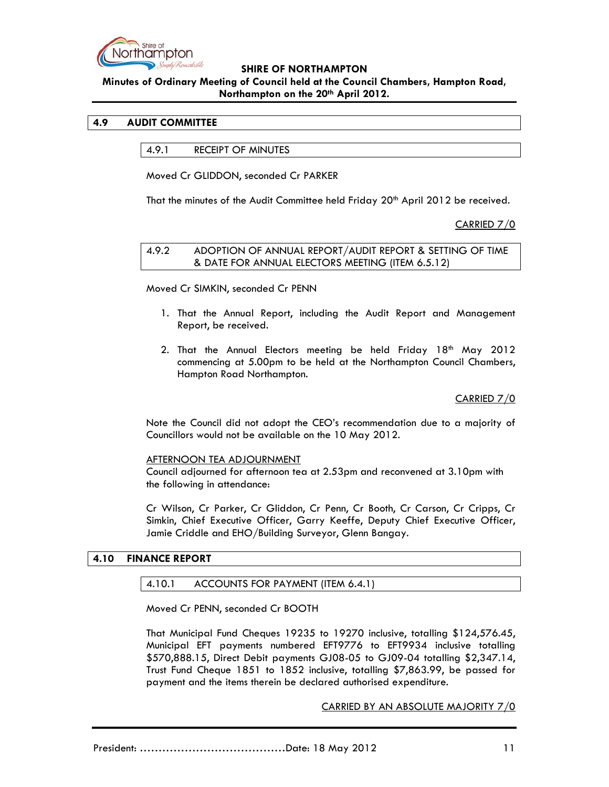

# **Minutes of Ordinary Meeting of Council held at the Council Chambers, Hampton Road, Northampton on the 20th April 2012.**

### **4.9 AUDIT COMMITTEE**

4.9.1 RECEIPT OF MINUTES

Moved Cr GLIDDON, seconded Cr PARKER

That the minutes of the Audit Committee held Friday 20<sup>th</sup> April 2012 be received.

CARRIED 7/0

#### 4.9.2 ADOPTION OF ANNUAL REPORT/AUDIT REPORT & SETTING OF TIME & DATE FOR ANNUAL ELECTORS MEETING (ITEM 6.5.12)

Moved Cr SIMKIN, seconded Cr PENN

- 1. That the Annual Report, including the Audit Report and Management Report, be received.
- 2. That the Annual Electors meeting be held Friday  $18<sup>th</sup>$  May 2012 commencing at 5.00pm to be held at the Northampton Council Chambers, Hampton Road Northampton.

### CARRIED 7/0

Note the Council did not adopt the CEO's recommendation due to a majority of Councillors would not be available on the 10 May 2012.

#### AFTERNOON TEA ADJOURNMENT

Council adjourned for afternoon tea at 2.53pm and reconvened at 3.10pm with the following in attendance:

Cr Wilson, Cr Parker, Cr Gliddon, Cr Penn, Cr Booth, Cr Carson, Cr Cripps, Cr Simkin, Chief Executive Officer, Garry Keeffe, Deputy Chief Executive Officer, Jamie Criddle and EHO/Building Surveyor, Glenn Bangay.

#### **4.10 FINANCE REPORT**

#### 4.10.1 ACCOUNTS FOR PAYMENT (ITEM 6.4.1)

Moved Cr PENN, seconded Cr BOOTH

That Municipal Fund Cheques 19235 to 19270 inclusive, totalling \$124,576.45, Municipal EFT payments numbered EFT9776 to EFT9934 inclusive totalling \$570,888.15, Direct Debit payments GJ08-05 to GJ09-04 totalling \$2,347.14, Trust Fund Cheque 1851 to 1852 inclusive, totalling \$7,863.99, be passed for payment and the items therein be declared authorised expenditure.

CARRIED BY AN ABSOLUTE MAJORITY 7/0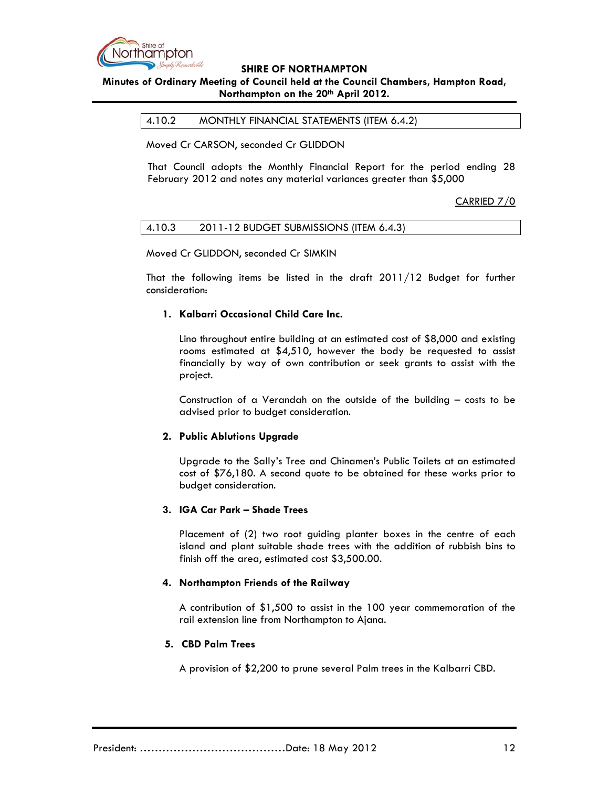

# **Minutes of Ordinary Meeting of Council held at the Council Chambers, Hampton Road, Northampton on the 20th April 2012.**

4.10.2 MONTHLY FINANCIAL STATEMENTS (ITEM 6.4.2)

Moved Cr CARSON, seconded Cr GLIDDON

That Council adopts the Monthly Financial Report for the period ending 28 February 2012 and notes any material variances greater than \$5,000

### CARRIED 7/0

| 4.10.3 | 2011-12 BUDGET SUBMISSIONS (ITEM 6.4.3) |  |
|--------|-----------------------------------------|--|
|--------|-----------------------------------------|--|

Moved Cr GLIDDON, seconded Cr SIMKIN

That the following items be listed in the draft 2011/12 Budget for further consideration:

#### **1. Kalbarri Occasional Child Care Inc.**

Lino throughout entire building at an estimated cost of \$8,000 and existing rooms estimated at \$4,510, however the body be requested to assist financially by way of own contribution or seek grants to assist with the project.

Construction of a Verandah on the outside of the building – costs to be advised prior to budget consideration.

#### **2. Public Ablutions Upgrade**

Upgrade to the Sally's Tree and Chinamen's Public Toilets at an estimated cost of \$76,180. A second quote to be obtained for these works prior to budget consideration.

### **3. IGA Car Park – Shade Trees**

Placement of (2) two root guiding planter boxes in the centre of each island and plant suitable shade trees with the addition of rubbish bins to finish off the area, estimated cost \$3,500.00.

#### **4. Northampton Friends of the Railway**

A contribution of \$1,500 to assist in the 100 year commemoration of the rail extension line from Northampton to Ajana.

#### **5. CBD Palm Trees**

A provision of \$2,200 to prune several Palm trees in the Kalbarri CBD.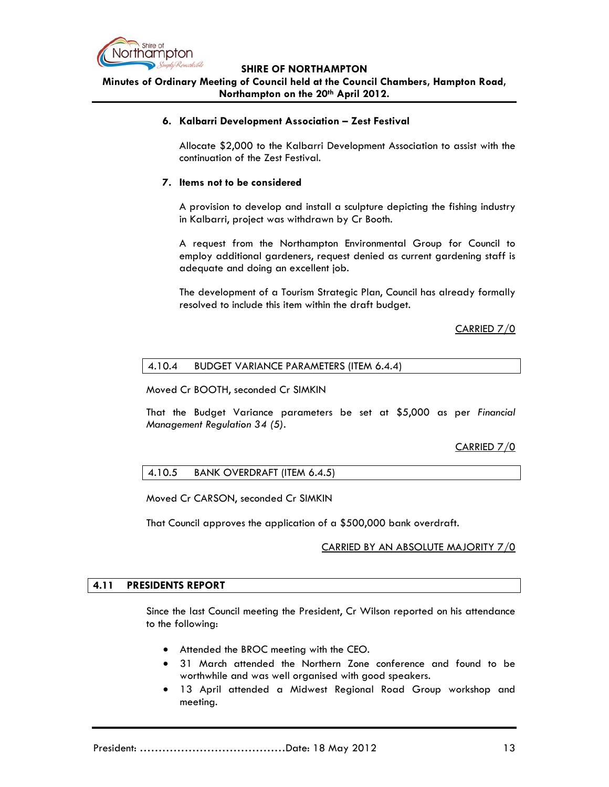

**SHIRE OF NORTHAMPTON Minutes of Ordinary Meeting of Council held at the Council Chambers, Hampton Road,** 

**Northampton on the 20th April 2012.**

### **6. Kalbarri Development Association – Zest Festival**

Allocate \$2,000 to the Kalbarri Development Association to assist with the continuation of the Zest Festival.

### **7. Items not to be considered**

A provision to develop and install a sculpture depicting the fishing industry in Kalbarri, project was withdrawn by Cr Booth.

A request from the Northampton Environmental Group for Council to employ additional gardeners, request denied as current gardening staff is adequate and doing an excellent job.

The development of a Tourism Strategic Plan, Council has already formally resolved to include this item within the draft budget.

CARRIED 7/0

### 4.10.4 BUDGET VARIANCE PARAMETERS (ITEM 6.4.4)

Moved Cr BOOTH, seconded Cr SIMKIN

That the Budget Variance parameters be set at \$5,000 as per *Financial Management Regulation 34 (5).* 

### CARRIED 7/0

### 4.10.5 BANK OVERDRAFT (ITEM 6.4.5)

Moved Cr CARSON, seconded Cr SIMKIN

That Council approves the application of a \$500,000 bank overdraft.

#### CARRIED BY AN ABSOLUTE MAJORITY 7/0

#### **4.11 PRESIDENTS REPORT**

Since the last Council meeting the President, Cr Wilson reported on his attendance to the following:

- Attended the BROC meeting with the CEO.
- 31 March attended the Northern Zone conference and found to be worthwhile and was well organised with good speakers.
- 13 April attended a Midwest Regional Road Group workshop and meeting.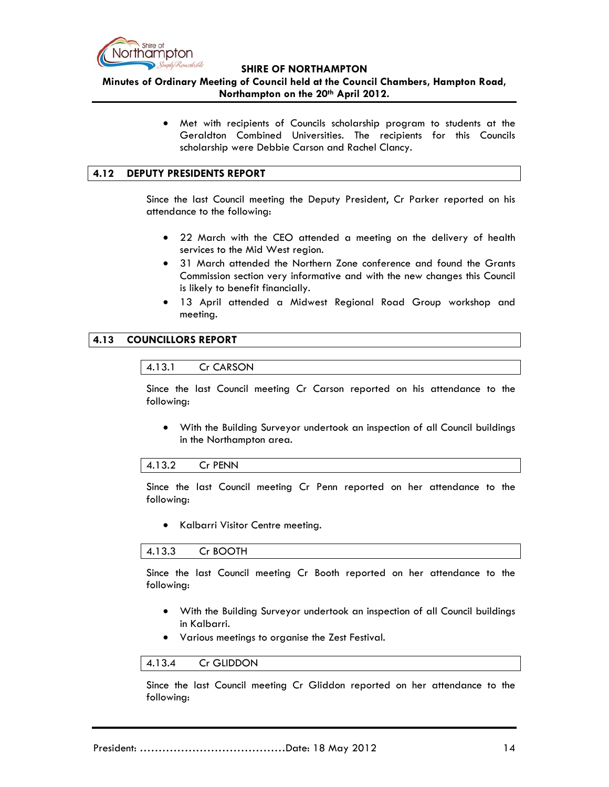

**Minutes of Ordinary Meeting of Council held at the Council Chambers, Hampton Road, Northampton on the 20th April 2012.**

> Met with recipients of Councils scholarship program to students at the Geraldton Combined Universities. The recipients for this Councils scholarship were Debbie Carson and Rachel Clancy.

### **4.12 DEPUTY PRESIDENTS REPORT**

Since the last Council meeting the Deputy President, Cr Parker reported on his attendance to the following:

- 22 March with the CEO attended a meeting on the delivery of health services to the Mid West region.
- 31 March attended the Northern Zone conference and found the Grants Commission section very informative and with the new changes this Council is likely to benefit financially.
- 13 April attended a Midwest Regional Road Group workshop and meeting.

### **4.13 COUNCILLORS REPORT**



Since the last Council meeting Cr Carson reported on his attendance to the following:

 With the Building Surveyor undertook an inspection of all Council buildings in the Northampton area.

#### 4.13.2 Cr PENN

Since the last Council meeting Cr Penn reported on her attendance to the following:

Kalbarri Visitor Centre meeting.

#### 4.13.3 Cr BOOTH

Since the last Council meeting Cr Booth reported on her attendance to the following:

- With the Building Surveyor undertook an inspection of all Council buildings in Kalbarri.
- Various meetings to organise the Zest Festival.

### 4.13.4 Cr GLIDDON

Since the last Council meeting Cr Gliddon reported on her attendance to the following: